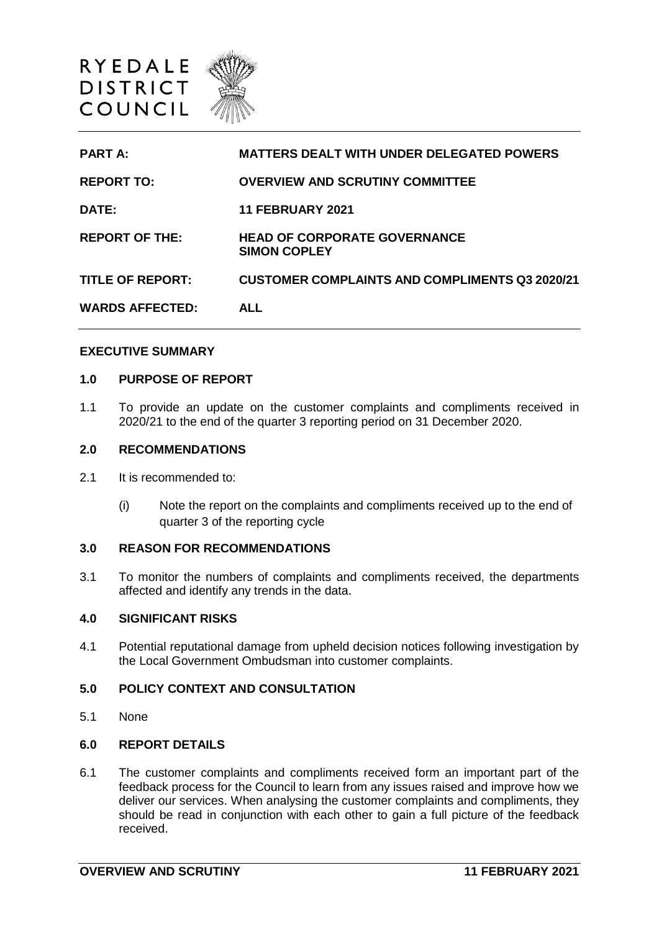

| <b>PART A:</b>          | <b>MATTERS DEALT WITH UNDER DELEGATED POWERS</b>           |
|-------------------------|------------------------------------------------------------|
| <b>REPORT TO:</b>       | <b>OVERVIEW AND SCRUTINY COMMITTEE</b>                     |
| <b>DATE:</b>            | <b>11 FEBRUARY 2021</b>                                    |
| <b>REPORT OF THE:</b>   | <b>HEAD OF CORPORATE GOVERNANCE</b><br><b>SIMON COPLEY</b> |
| <b>TITLE OF REPORT:</b> | <b>CUSTOMER COMPLAINTS AND COMPLIMENTS Q3 2020/21</b>      |
| <b>WARDS AFFECTED:</b>  | <b>ALL</b>                                                 |

#### **EXECUTIVE SUMMARY**

## **1.0 PURPOSE OF REPORT**

1.1 To provide an update on the customer complaints and compliments received in 2020/21 to the end of the quarter 3 reporting period on 31 December 2020.

## **2.0 RECOMMENDATIONS**

- 2.1 It is recommended to:
	- (i) Note the report on the complaints and compliments received up to the end of quarter 3 of the reporting cycle

# **3.0 REASON FOR RECOMMENDATIONS**

3.1 To monitor the numbers of complaints and compliments received, the departments affected and identify any trends in the data.

#### **4.0 SIGNIFICANT RISKS**

4.1 Potential reputational damage from upheld decision notices following investigation by the Local Government Ombudsman into customer complaints.

# **5.0 POLICY CONTEXT AND CONSULTATION**

5.1 None

# **6.0 REPORT DETAILS**

6.1 The customer complaints and compliments received form an important part of the feedback process for the Council to learn from any issues raised and improve how we deliver our services. When analysing the customer complaints and compliments, they should be read in conjunction with each other to gain a full picture of the feedback received.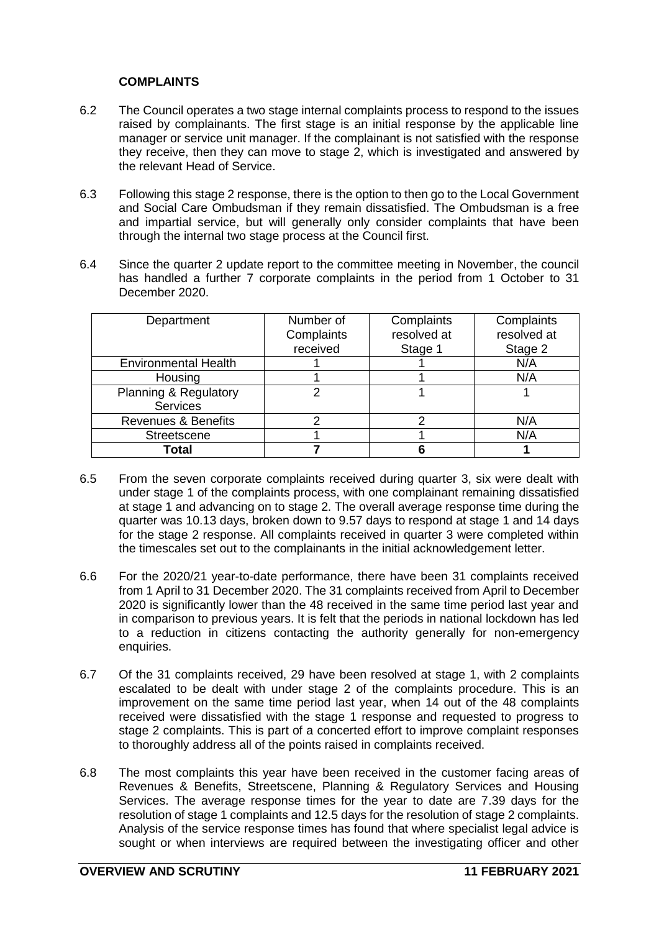# **COMPLAINTS**

- 6.2 The Council operates a two stage internal complaints process to respond to the issues raised by complainants. The first stage is an initial response by the applicable line manager or service unit manager. If the complainant is not satisfied with the response they receive, then they can move to stage 2, which is investigated and answered by the relevant Head of Service.
- 6.3 Following this stage 2 response, there is the option to then go to the Local Government and Social Care Ombudsman if they remain dissatisfied. The Ombudsman is a free and impartial service, but will generally only consider complaints that have been through the internal two stage process at the Council first.
- 6.4 Since the quarter 2 update report to the committee meeting in November, the council has handled a further 7 corporate complaints in the period from 1 October to 31 December 2020.

| Department                     | Number of  | Complaints  | Complaints  |
|--------------------------------|------------|-------------|-------------|
|                                | Complaints | resolved at | resolved at |
|                                | received   | Stage 1     | Stage 2     |
| <b>Environmental Health</b>    |            |             | N/A         |
| Housing                        |            |             | N/A         |
| Planning & Regulatory          | 2          |             |             |
| <b>Services</b>                |            |             |             |
| <b>Revenues &amp; Benefits</b> | 2          | っ           | N/A         |
| <b>Streetscene</b>             |            |             | N/A         |
| Total                          |            |             |             |

- 6.5 From the seven corporate complaints received during quarter 3, six were dealt with under stage 1 of the complaints process, with one complainant remaining dissatisfied at stage 1 and advancing on to stage 2. The overall average response time during the quarter was 10.13 days, broken down to 9.57 days to respond at stage 1 and 14 days for the stage 2 response. All complaints received in quarter 3 were completed within the timescales set out to the complainants in the initial acknowledgement letter.
- 6.6 For the 2020/21 year-to-date performance, there have been 31 complaints received from 1 April to 31 December 2020. The 31 complaints received from April to December 2020 is significantly lower than the 48 received in the same time period last year and in comparison to previous years. It is felt that the periods in national lockdown has led to a reduction in citizens contacting the authority generally for non-emergency enquiries.
- 6.7 Of the 31 complaints received, 29 have been resolved at stage 1, with 2 complaints escalated to be dealt with under stage 2 of the complaints procedure. This is an improvement on the same time period last year, when 14 out of the 48 complaints received were dissatisfied with the stage 1 response and requested to progress to stage 2 complaints. This is part of a concerted effort to improve complaint responses to thoroughly address all of the points raised in complaints received.
- 6.8 The most complaints this year have been received in the customer facing areas of Revenues & Benefits, Streetscene, Planning & Regulatory Services and Housing Services. The average response times for the year to date are 7.39 days for the resolution of stage 1 complaints and 12.5 days for the resolution of stage 2 complaints. Analysis of the service response times has found that where specialist legal advice is sought or when interviews are required between the investigating officer and other